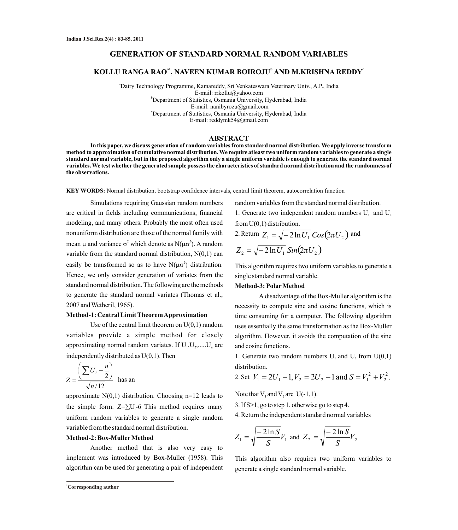# **GENERATION OF STANDARD NORMAL RANDOM VARIABLES**

# **a1 <sup>b</sup> <sup>c</sup> KOLLU RANGA RAO , NAVEEN KUMAR BOIROJU AND M.KRISHNA REDDY**

<sup>a</sup>Dairy Technology Programme, Kamareddy, Sri Venkateswara Veterinary Univ., A.P., India E-mail: rrkollu@yahoo.com <sup>b</sup>Department of Statistics, Osmania University, Hyderabad, India E-mail: nanibyrozu@gmail.com <sup>c</sup>Department of Statistics, Osmania University, Hyderabad, India E-mail: reddymk54@gmail.com

# **ABSTRACT**

**In this paper, we discuss generation of random variables from standard normal distribution. We apply inverse transform method to approximation of cumulative normal distribution. We require atleast two uniform random variables to generate a single standard normal variable, but in the proposed algorithm only a single uniform variable is enough to generate the standard normal variables. We test whether the generated sample possess the characteristics of standard normal distribution and the randomness of the observations.**

**KEY WORDS:** Normal distribution, bootstrap confidence intervals, central limit theorem, autocorrelation function

Simulations requiring Gaussian random numbers are critical in fields including communications, financial modeling, and many others. Probably the most often used nonuniform distribution are those of the normal family with mean  $\mu$  and variance  $\sigma^2$  which denote as N( $\mu\sigma^2$ ). A random variable from the standard normal distribution,  $N(0,1)$  can easily be transformed so as to have  $N(\mu\sigma^2)$  distribution. easily be transformed so as to have  $N(\mu\sigma^2)$  distribution. This algorithm requires two uniform variables to generate a Hence, we only consider generation of variates from the standard normal distribution. The following are the methods to generate the standard normal variates (Thomas et al., 2007 and Wetheril, 1965).

### **Method-1: Central Limit Theorem Approximation**

Use of the central limit theorem on  $U(0,1)$  random variables provide a simple method for closely approximating normal random variates. If  $U_1, U_2, \ldots, U_n$  are independently distributed as U(0,1). Then

$$
Z = \frac{\left(\sum U_i - \frac{n}{2}\right)}{\sqrt{n/12}} \text{ has an}
$$

approximate  $N(0,1)$  distribution. Choosing n=12 leads to the simple form.  $Z = \sum U_i - 6$  This method requires many uniform random variables to generate a single random variable from the standard normal distribution.

### **Method-2: Box-Muller Method**

Another method that is also very easy to implement was introduced by Box-Muller (1958). This algorithm can be used for generating a pair of independent random variables from the standard normal distribution.

1. Generate two independent random numbers  $U_1$  and  $U_2$ from  $U(0,1)$  distribution.

2. Return 
$$
Z_1 = \sqrt{-2 \ln U_1} \cos(2\pi U_2)
$$
 and  

$$
Z_2 = \sqrt{-2 \ln U_1} \sin(2\pi U_2)
$$

single standard normal variable.

### **Method-3:PolarMethod**

Adisadvantage of the Box-Muller algorithm is the necessity to compute sine and cosine functions, which is time consuming for a computer. The following algorithm uses essentially the same transformation as the Box-Muller algorithm. However, it avoids the computation of the sine and cosine functions.

1. Generate two random numbers  $U_1$  and  $U_2$  from  $U(0,1)$ distribution.

2. Set 
$$
V_1 = 2U_1 - 1
$$
,  $V_2 = 2U_2 - 1$  and  $S = V_1^2 + V_2^2$ .

Note that  $V_1$  and  $V_2$  are U(-1,1).

3. If S>1, go to step 1, otherwise go to step 4.

4. Return the independent standard normal variables

$$
Z_1 = \sqrt{\frac{-2\ln S}{S}} V_1
$$
 and  $Z_2 = \sqrt{\frac{-2\ln S}{S}} V_2$ 

This algorithm also requires two uniform variables to generate a single standard normal variable.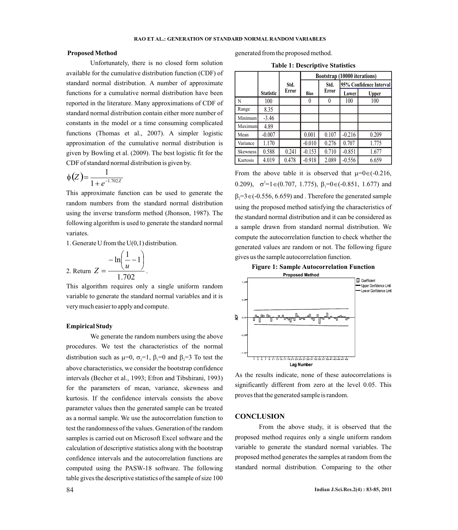Unfortunately, there is no closed form solution available for the cumulative distribution function (CDF) of standard normal distribution. A number of approximate functions for a cumulative normal distribution have been reported in the literature. Many approximations of CDF of standard normal distribution contain either more number of constants in the model or a time consuming complicated functions (Thomas et al., 2007). A simpler logistic approximation of the cumulative normal distribution is given by Bowling et al. (2009). The best logistic fit for the CDF of standard normal distribution is given by.

$$
\phi\big(Z\big) = \frac{1}{1 + e^{-1.702Z}}
$$

This approximate function can be used to generate the random numbers from the standard normal distribution using the inverse transform method (Jhonson, 1987). The following algorithm is used to generate the standard normal variates.

1. Generate U from the U(0,1) distribution.

2. Return 
$$
Z = \frac{-\ln(\frac{1}{u} - 1)}{1.702}
$$
.

This algorithm requires only a single uniform random variable to generate the standard normal variables and it is very much easier to apply and compute.

### **Empirical Study**

We generate the random numbers using the above procedures. We test the characteristics of the normal distribution such as m=0, s=1, b=0 and b=3 To test the <sup>2</sup> <sup>1</sup> <sup>2</sup> above characteristics, we consider the bootstrap confidence intervals (Becher et al., 1993; Efron and Tibshirani, 1993) for the parameters of mean, variance, skewness and kurtosis. If the confidence intervals consists the above parameter values then the generated sample can be treated as a normal sample. We use the autocorrelation function to test the randomness of the values. Generation of the random samples is carried out on Microsoft Excel software and the calculation of descriptive statistics along with the bootstrap confidence intervals and the autocorrelation functions are computed using the PASW-18 software. The following table gives the descriptive statistics of the sample of size 100

**Proposed Method Proposed Method** generated from the proposed method.

| <b>Table 1: Descriptive Statistics</b> |  |
|----------------------------------------|--|
|----------------------------------------|--|

|                 |                  |       | Bootstrap (10000 iterations) |               |                         |       |
|-----------------|------------------|-------|------------------------------|---------------|-------------------------|-------|
|                 |                  | Std.  |                              | Std.<br>Error | 95% Confidence Interval |       |
|                 | <b>Statistic</b> | Error | <b>Bias</b>                  |               | Lower                   | Upper |
| N               | 100              |       | $\theta$                     | $\theta$      | 100                     | 100   |
| Range           | 8.35             |       |                              |               |                         |       |
| Minimum         | $-3.46$          |       |                              |               |                         |       |
| Maximum         | 4.89             |       |                              |               |                         |       |
| Mean            | $-0.007$         |       | 0.001                        | 0.107         | $-0.216$                | 0.209 |
| Variance        | 1.170            |       | $-0.010$                     | 0.276         | 0.707                   | 1.775 |
| <b>Skewness</b> | 0.588            | 0.241 | $-0.153$                     | 0.710         | $-0.851$                | 1.677 |
| Kurtosis        | 4.019            | 0.478 | $-0.918$                     | 2.089         | $-0.556$                | 6.659 |

From the above table it is observed that  $\mu=0\in(-0.216,$ 0.209),  $\sigma^2 = 1 \in (0.707, 1.775)$ ,  $\beta_1 = 0 \in (-0.851, 1.677)$  and  $\beta_2 = 3 \in (-0.556, 6.659)$  and . Therefore the generated sample using the proposed method satisfying the characteristics of the standard normal distribution and it can be considered as a sample drawn from standard normal distribution. We compute the autocorrelation function to check whether the generated values are random or not. The following figure gives us the sample autocorrelation function.

**Figure 1: Sample Autocorrelation Function**



As the results indicate, none of these autocorrelations is significantly different from zero at the level 0.05. This proves that the generated sample is random.

### **CONCLUSION**

From the above study, it is observed that the proposed method requires only a single uniform random variable to generate the standard normal variables. The proposed method generates the samples at random from the standard normal distribution. Comparing to the other